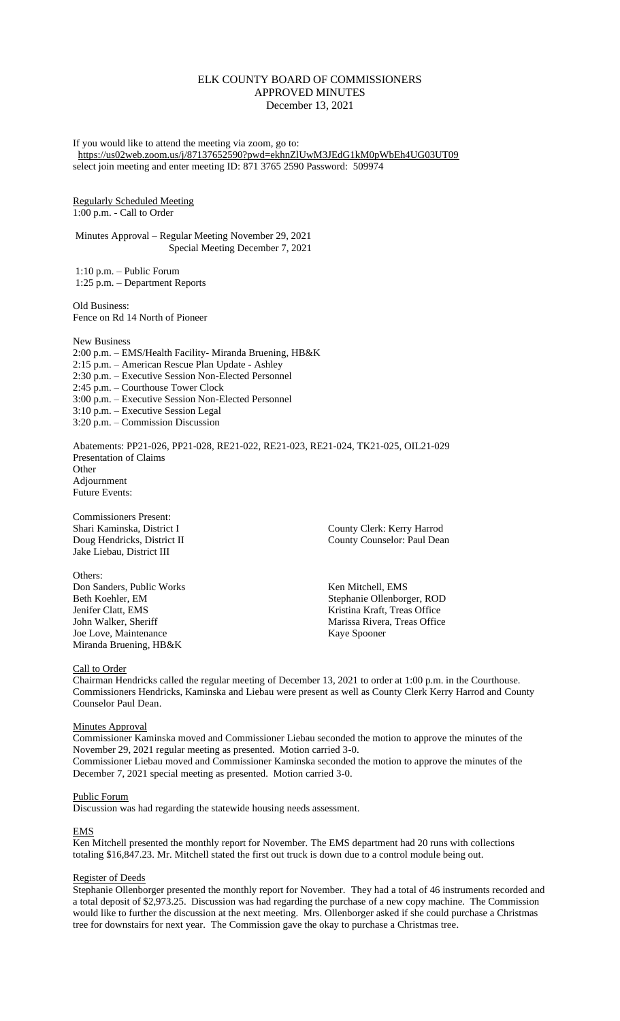## ELK COUNTY BOARD OF COMMISSIONERS APPROVED MINUTES December 13, 2021

If you would like to attend the meeting via zoom, go to: <https://us02web.zoom.us/j/87137652590?pwd=ekhnZlUwM3JEdG1kM0pWbEh4UG03UT09> select join meeting and enter meeting ID: 871 3765 2590 Password: 509974

Regularly Scheduled Meeting 1:00 p.m. - Call to Order

Minutes Approval – Regular Meeting November 29, 2021 Special Meeting December 7, 2021

1:10 p.m. – Public Forum 1:25 p.m. – Department Reports

Old Business: Fence on Rd 14 North of Pioneer

New Business 2:00 p.m. – EMS/Health Facility- Miranda Bruening, HB&K 2:15 p.m. – American Rescue Plan Update - Ashley 2:30 p.m. – Executive Session Non-Elected Personnel 2:45 p.m. – Courthouse Tower Clock 3:00 p.m. – Executive Session Non-Elected Personnel 3:10 p.m. – Executive Session Legal 3:20 p.m. – Commission Discussion

Abatements: PP21-026, PP21-028, RE21-022, RE21-023, RE21-024, TK21-025, OIL21-029 Presentation of Claims **Other** Adjournment Future Events:

Commissioners Present: Shari Kaminska, District I County Clerk: Kerry Harrod Jake Liebau, District III

Others: Don Sanders, Public Works Ken Mitchell, EMS Joe Love, Maintenance Kaye Spooner Miranda Bruening, HB&K

Doug Hendricks, District II County Counselor: Paul Dean

Beth Koehler, EM Stephanie Ollenborger, ROD<br>
Jenifer Clatt, EMS Stephanie Ollenborger, ROD<br>
Kristina Kraft, Treas Office Kristina Kraft, Treas Office John Walker, Sheriff Marissa Rivera, Treas Office

Call to Order

Chairman Hendricks called the regular meeting of December 13, 2021 to order at 1:00 p.m. in the Courthouse. Commissioners Hendricks, Kaminska and Liebau were present as well as County Clerk Kerry Harrod and County Counselor Paul Dean.

**Minutes Approval** 

Commissioner Kaminska moved and Commissioner Liebau seconded the motion to approve the minutes of the November 29, 2021 regular meeting as presented. Motion carried 3-0.

Commissioner Liebau moved and Commissioner Kaminska seconded the motion to approve the minutes of the December 7, 2021 special meeting as presented. Motion carried 3-0.

## Public Forum

Discussion was had regarding the statewide housing needs assessment.

## EMS

Ken Mitchell presented the monthly report for November. The EMS department had 20 runs with collections totaling \$16,847.23. Mr. Mitchell stated the first out truck is down due to a control module being out.

## Register of Deeds

Stephanie Ollenborger presented the monthly report for November. They had a total of 46 instruments recorded and a total deposit of \$2,973.25. Discussion was had regarding the purchase of a new copy machine. The Commission would like to further the discussion at the next meeting. Mrs. Ollenborger asked if she could purchase a Christmas tree for downstairs for next year. The Commission gave the okay to purchase a Christmas tree.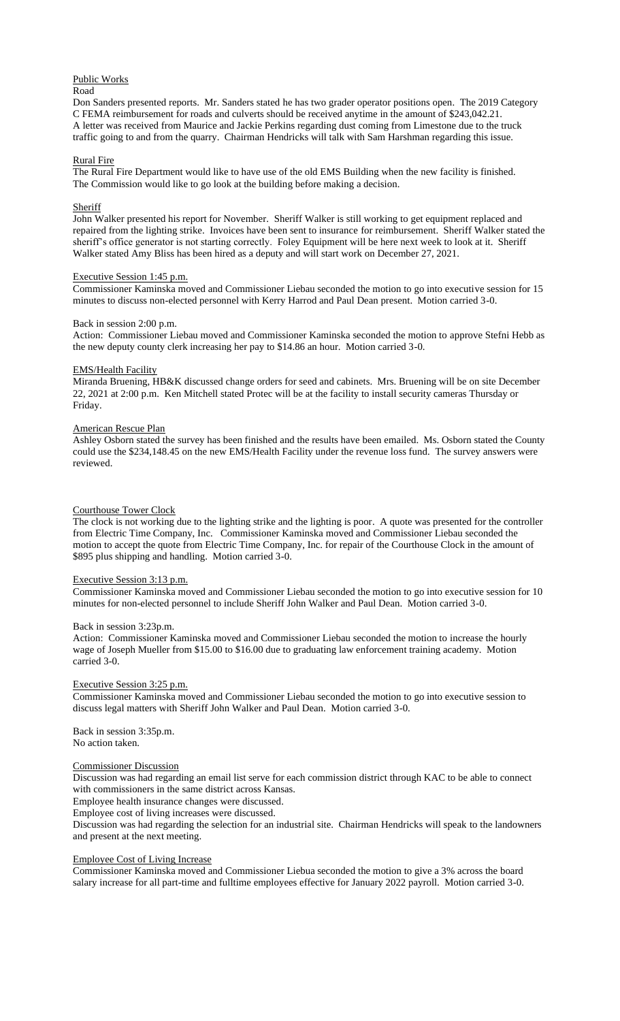# Public Works

## Road

Don Sanders presented reports. Mr. Sanders stated he has two grader operator positions open. The 2019 Category C FEMA reimbursement for roads and culverts should be received anytime in the amount of \$243,042.21. A letter was received from Maurice and Jackie Perkins regarding dust coming from Limestone due to the truck traffic going to and from the quarry. Chairman Hendricks will talk with Sam Harshman regarding this issue.

## Rural Fire

The Rural Fire Department would like to have use of the old EMS Building when the new facility is finished. The Commission would like to go look at the building before making a decision.

## **Sheriff**

John Walker presented his report for November. Sheriff Walker is still working to get equipment replaced and repaired from the lighting strike. Invoices have been sent to insurance for reimbursement. Sheriff Walker stated the sheriff's office generator is not starting correctly. Foley Equipment will be here next week to look at it. Sheriff Walker stated Amy Bliss has been hired as a deputy and will start work on December 27, 2021.

#### Executive Session 1:45 p.m.

Commissioner Kaminska moved and Commissioner Liebau seconded the motion to go into executive session for 15 minutes to discuss non-elected personnel with Kerry Harrod and Paul Dean present. Motion carried 3-0.

## Back in session 2:00 p.m.

Action: Commissioner Liebau moved and Commissioner Kaminska seconded the motion to approve Stefni Hebb as the new deputy county clerk increasing her pay to \$14.86 an hour. Motion carried 3-0.

## EMS/Health Facility

Miranda Bruening, HB&K discussed change orders for seed and cabinets. Mrs. Bruening will be on site December 22, 2021 at 2:00 p.m. Ken Mitchell stated Protec will be at the facility to install security cameras Thursday or Friday.

#### American Rescue Plan

Ashley Osborn stated the survey has been finished and the results have been emailed. Ms. Osborn stated the County could use the \$234,148.45 on the new EMS/Health Facility under the revenue loss fund. The survey answers were reviewed.

#### Courthouse Tower Clock

The clock is not working due to the lighting strike and the lighting is poor. A quote was presented for the controller from Electric Time Company, Inc. Commissioner Kaminska moved and Commissioner Liebau seconded the motion to accept the quote from Electric Time Company, Inc. for repair of the Courthouse Clock in the amount of \$895 plus shipping and handling. Motion carried 3-0.

## Executive Session 3:13 p.m.

Commissioner Kaminska moved and Commissioner Liebau seconded the motion to go into executive session for 10 minutes for non-elected personnel to include Sheriff John Walker and Paul Dean. Motion carried 3-0.

## Back in session 3:23p.m.

Action: Commissioner Kaminska moved and Commissioner Liebau seconded the motion to increase the hourly wage of Joseph Mueller from \$15.00 to \$16.00 due to graduating law enforcement training academy. Motion carried 3-0.

#### Executive Session 3:25 p.m.

Commissioner Kaminska moved and Commissioner Liebau seconded the motion to go into executive session to discuss legal matters with Sheriff John Walker and Paul Dean. Motion carried 3-0.

Back in session 3:35p.m. No action taken.

#### Commissioner Discussion

Discussion was had regarding an email list serve for each commission district through KAC to be able to connect with commissioners in the same district across Kansas.

Employee health insurance changes were discussed.

Employee cost of living increases were discussed.

Discussion was had regarding the selection for an industrial site. Chairman Hendricks will speak to the landowners and present at the next meeting.

#### Employee Cost of Living Increase

Commissioner Kaminska moved and Commissioner Liebua seconded the motion to give a 3% across the board salary increase for all part-time and fulltime employees effective for January 2022 payroll. Motion carried 3-0.